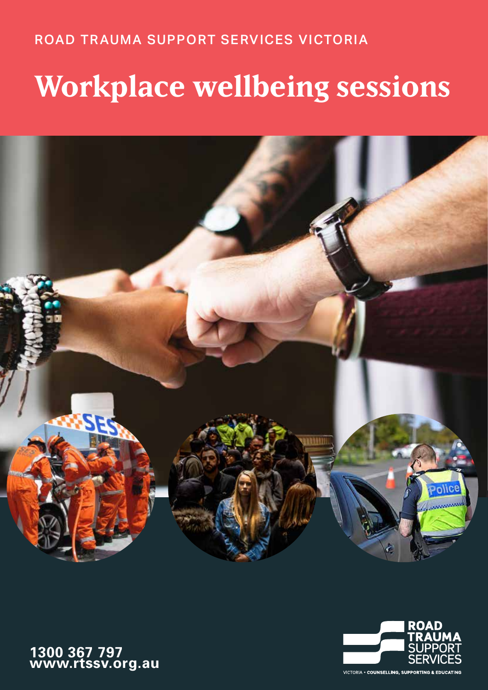## ROAD TRAUMA SUPPORT SERVICES VICTORIA

# **Workplace wellbeing sessions**





**1300 367 797 www.rtssv.org.au**